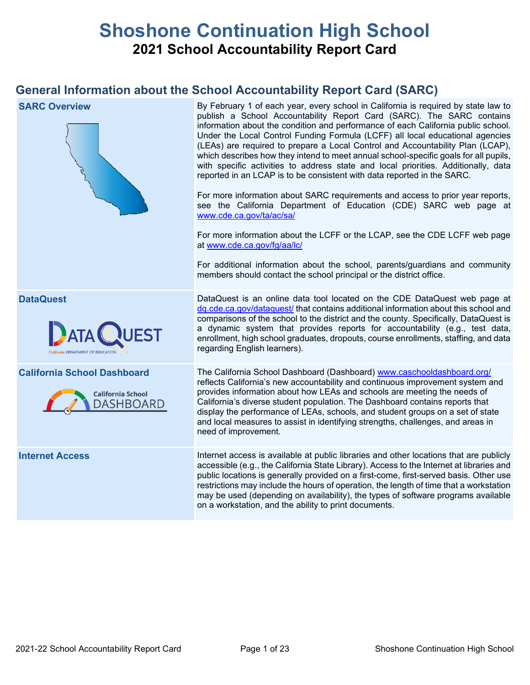# **Shoshone Continuation High School 2021 School Accountability Report Card**

## **General Information about the School Accountability Report Card (SARC)**

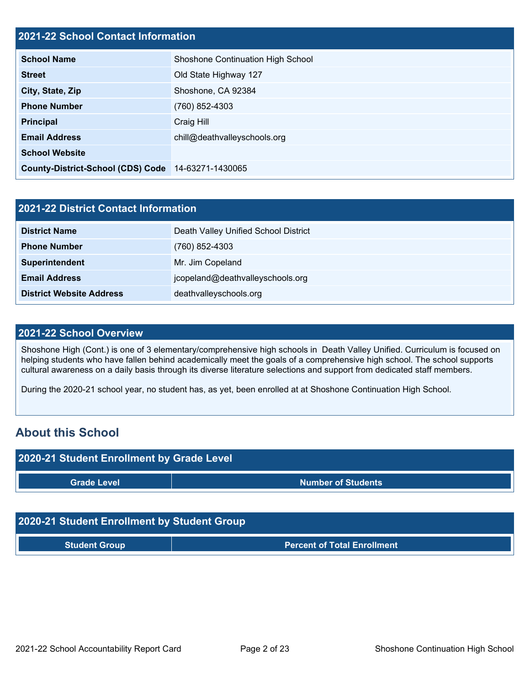### **2021-22 School Contact Information**

| <u> Eve i ee School Schwact hilchmatich</u>        |                                   |
|----------------------------------------------------|-----------------------------------|
| <b>School Name</b>                                 | Shoshone Continuation High School |
| <b>Street</b>                                      | Old State Highway 127             |
| City, State, Zip                                   | Shoshone, CA 92384                |
| <b>Phone Number</b>                                | (760) 852-4303                    |
| <b>Principal</b>                                   | Craig Hill                        |
| <b>Email Address</b>                               | chill@deathvalleyschools.org      |
| <b>School Website</b>                              |                                   |
| County-District-School (CDS) Code 14-63271-1430065 |                                   |

| 2021-22 District Contact Information |                                      |  |  |  |
|--------------------------------------|--------------------------------------|--|--|--|
| <b>District Name</b>                 | Death Valley Unified School District |  |  |  |
| <b>Phone Number</b>                  | $(760)$ 852-4303                     |  |  |  |
| Superintendent                       | Mr. Jim Copeland                     |  |  |  |
| <b>Email Address</b>                 | jcopeland@deathvalleyschools.org     |  |  |  |
| <b>District Website Address</b>      | deathvalleyschools.org               |  |  |  |

#### **2021-22 School Overview**

Shoshone High (Cont.) is one of 3 elementary/comprehensive high schools in Death Valley Unified. Curriculum is focused on helping students who have fallen behind academically meet the goals of a comprehensive high school. The school supports cultural awareness on a daily basis through its diverse literature selections and support from dedicated staff members.

During the 2020-21 school year, no student has, as yet, been enrolled at at Shoshone Continuation High School.

## **About this School**



| 2020-21 Student Enrollment by Student Group |                                    |  |  |  |
|---------------------------------------------|------------------------------------|--|--|--|
| <b>Student Group</b>                        | <b>Percent of Total Enrollment</b> |  |  |  |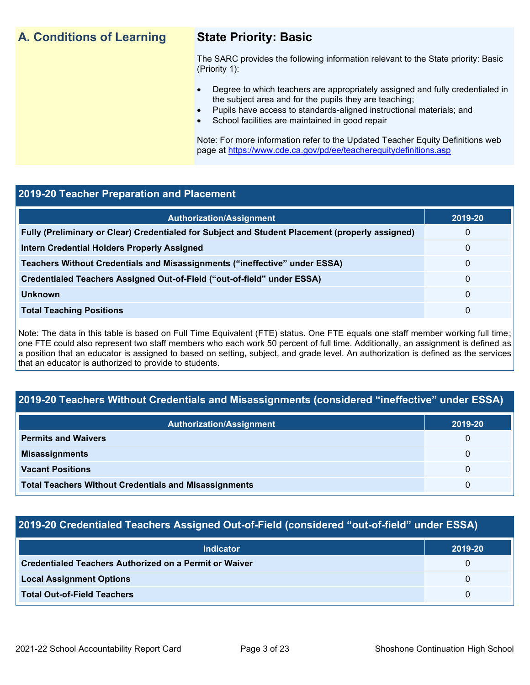## **A. Conditions of Learning State Priority: Basic**

The SARC provides the following information relevant to the State priority: Basic (Priority 1):

- Degree to which teachers are appropriately assigned and fully credentialed in the subject area and for the pupils they are teaching;
	- Pupils have access to standards-aligned instructional materials; and
- School facilities are maintained in good repair

Note: For more information refer to the Updated Teacher Equity Definitions web page at<https://www.cde.ca.gov/pd/ee/teacherequitydefinitions.asp>

#### **2019-20 Teacher Preparation and Placement**

| <b>Authorization/Assignment</b>                                                                 | 2019-20      |
|-------------------------------------------------------------------------------------------------|--------------|
| Fully (Preliminary or Clear) Credentialed for Subject and Student Placement (properly assigned) | 0            |
| <b>Intern Credential Holders Properly Assigned</b>                                              | $\mathbf{0}$ |
| Teachers Without Credentials and Misassignments ("ineffective" under ESSA)                      | $\Omega$     |
| Credentialed Teachers Assigned Out-of-Field ("out-of-field" under ESSA)                         | $\Omega$     |
| <b>Unknown</b>                                                                                  | $\Omega$     |
| <b>Total Teaching Positions</b>                                                                 | $\Omega$     |

Note: The data in this table is based on Full Time Equivalent (FTE) status. One FTE equals one staff member working full time; one FTE could also represent two staff members who each work 50 percent of full time. Additionally, an assignment is defined as a position that an educator is assigned to based on setting, subject, and grade level. An authorization is defined as the services that an educator is authorized to provide to students.

#### **2019-20 Teachers Without Credentials and Misassignments (considered "ineffective" under ESSA)**

| <b>Authorization/Assignment</b>                              | 2019-20 |
|--------------------------------------------------------------|---------|
| <b>Permits and Waivers</b>                                   | 0       |
| <b>Misassignments</b>                                        | 0       |
| <b>Vacant Positions</b>                                      | 0       |
| <b>Total Teachers Without Credentials and Misassignments</b> | 0       |

#### **2019-20 Credentialed Teachers Assigned Out-of-Field (considered "out-of-field" under ESSA)**

| <b>Indicator</b>                                       | 2019-20  |
|--------------------------------------------------------|----------|
| Credentialed Teachers Authorized on a Permit or Waiver | 0        |
| <b>Local Assignment Options</b>                        | $\Omega$ |
| <b>Total Out-of-Field Teachers</b>                     | $\Omega$ |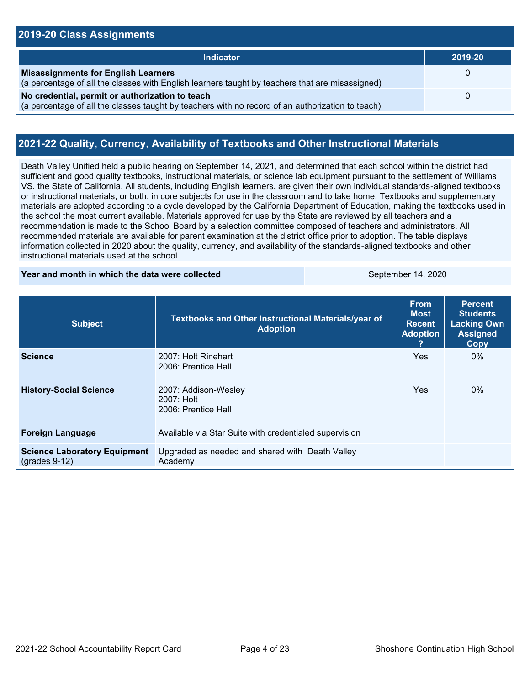#### **2019-20 Class Assignments Indicator 2019-20 Misassignments for English Learners** (a percentage of all the classes with English learners taught by teachers that are misassigned)  $\Omega$ **No credential, permit or authorization to teach** (a percentage of all the classes taught by teachers with no record of an authorization to teach) 0

#### **2021-22 Quality, Currency, Availability of Textbooks and Other Instructional Materials**

Death Valley Unified held a public hearing on September 14, 2021, and determined that each school within the district had sufficient and good quality textbooks, instructional materials, or science lab equipment pursuant to the settlement of Williams VS. the State of California. All students, including English learners, are given their own individual standards-aligned textbooks or instructional materials, or both. in core subjects for use in the classroom and to take home. Textbooks and supplementary materials are adopted according to a cycle developed by the California Department of Education, making the textbooks used in the school the most current available. Materials approved for use by the State are reviewed by all teachers and a recommendation is made to the School Board by a selection committee composed of teachers and administrators. All recommended materials are available for parent examination at the district office prior to adoption. The table displays information collected in 2020 about the quality, currency, and availability of the standards-aligned textbooks and other instructional materials used at the school..

#### **Year and month in which the data were collected September 14, 2020**

| <b>Subject</b>                                         | Textbooks and Other Instructional Materials/year of<br><b>Adoption</b> | <b>From</b><br><b>Most</b><br><b>Recent</b><br><b>Adoption</b> | <b>Percent</b><br><b>Students</b><br><b>Lacking Own</b><br><b>Assigned</b><br>Copy |
|--------------------------------------------------------|------------------------------------------------------------------------|----------------------------------------------------------------|------------------------------------------------------------------------------------|
| <b>Science</b>                                         | 2007: Holt Rinehart<br>2006: Prentice Hall                             | <b>Yes</b>                                                     | $0\%$                                                                              |
| <b>History-Social Science</b>                          | 2007: Addison-Wesley<br>2007: Holt<br>2006: Prentice Hall              | <b>Yes</b>                                                     | $0\%$                                                                              |
| <b>Foreign Language</b>                                | Available via Star Suite with credentialed supervision                 |                                                                |                                                                                    |
| <b>Science Laboratory Equipment</b><br>$(grades 9-12)$ | Upgraded as needed and shared with Death Valley<br>Academy             |                                                                |                                                                                    |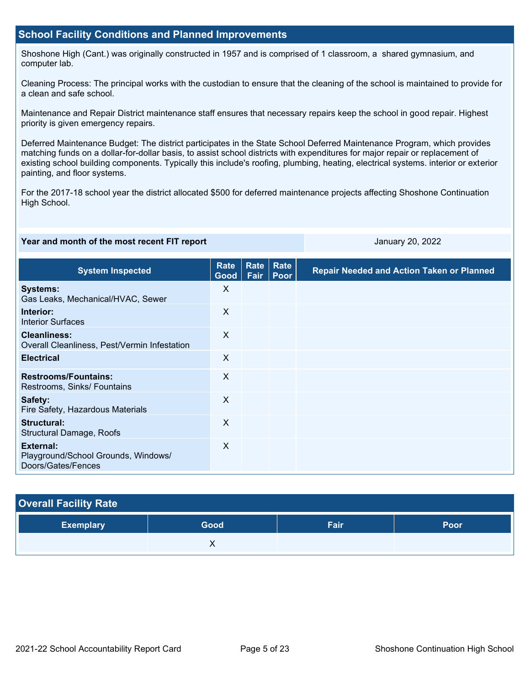#### **School Facility Conditions and Planned Improvements**

Shoshone High (Cant.) was originally constructed in 1957 and is comprised of 1 classroom, a shared gymnasium, and computer lab.

Cleaning Process: The principal works with the custodian to ensure that the cleaning of the school is maintained to provide for a clean and safe school.

Maintenance and Repair District maintenance staff ensures that necessary repairs keep the school in good repair. Highest priority is given emergency repairs.

Deferred Maintenance Budget: The district participates in the State School Deferred Maintenance Program, which provides matching funds on a dollar-for-dollar basis, to assist school districts with expenditures for major repair or replacement of existing school building components. Typically this include's roofing, plumbing, heating, electrical systems. interior or exterior painting, and floor systems.

For the 2017-18 school year the district allocated \$500 for deferred maintenance projects affecting Shoshone Continuation High School.

#### **Year and month of the most recent FIT report January 20, 2022**

| <b>System Inspected</b>                                                | <b>Rate</b><br>Good | Rate<br>Fair | <b>Rate</b><br>Poor | <b>Repair Needed and Action Taken or Planned</b> |
|------------------------------------------------------------------------|---------------------|--------------|---------------------|--------------------------------------------------|
| <b>Systems:</b><br>Gas Leaks, Mechanical/HVAC, Sewer                   | $\times$            |              |                     |                                                  |
| Interior:<br><b>Interior Surfaces</b>                                  | X                   |              |                     |                                                  |
| <b>Cleanliness:</b><br>Overall Cleanliness, Pest/Vermin Infestation    | X                   |              |                     |                                                  |
| <b>Electrical</b>                                                      | X                   |              |                     |                                                  |
| <b>Restrooms/Fountains:</b><br>Restrooms, Sinks/ Fountains             | $\sf X$             |              |                     |                                                  |
| Safety:<br>Fire Safety, Hazardous Materials                            | X                   |              |                     |                                                  |
| Structural:<br><b>Structural Damage, Roofs</b>                         | X                   |              |                     |                                                  |
| External:<br>Playground/School Grounds, Windows/<br>Doors/Gates/Fences | X                   |              |                     |                                                  |

| <b>Overall Facility Rate</b> |      |      |      |
|------------------------------|------|------|------|
| <b>Exemplary</b>             | Good | Fair | Poor |
|                              | ∧    |      |      |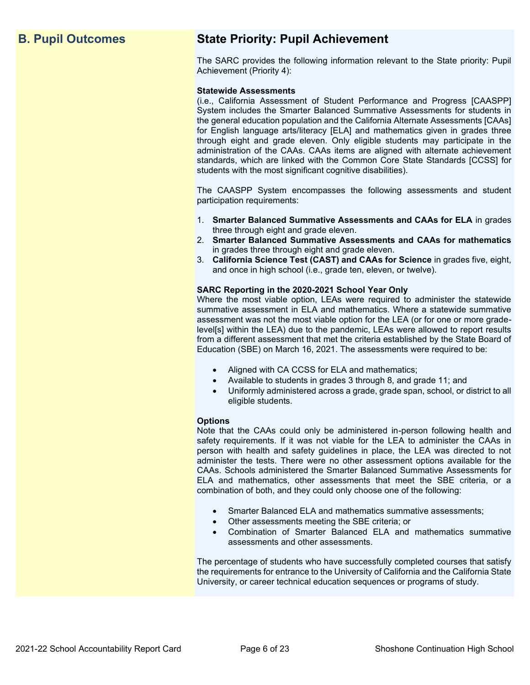## **B. Pupil Outcomes State Priority: Pupil Achievement**

The SARC provides the following information relevant to the State priority: Pupil Achievement (Priority 4):

#### **Statewide Assessments**

(i.e., California Assessment of Student Performance and Progress [CAASPP] System includes the Smarter Balanced Summative Assessments for students in the general education population and the California Alternate Assessments [CAAs] for English language arts/literacy [ELA] and mathematics given in grades three through eight and grade eleven. Only eligible students may participate in the administration of the CAAs. CAAs items are aligned with alternate achievement standards, which are linked with the Common Core State Standards [CCSS] for students with the most significant cognitive disabilities).

The CAASPP System encompasses the following assessments and student participation requirements:

- 1. **Smarter Balanced Summative Assessments and CAAs for ELA** in grades three through eight and grade eleven.
- 2. **Smarter Balanced Summative Assessments and CAAs for mathematics** in grades three through eight and grade eleven.
- 3. **California Science Test (CAST) and CAAs for Science** in grades five, eight, and once in high school (i.e., grade ten, eleven, or twelve).

#### **SARC Reporting in the 2020-2021 School Year Only**

Where the most viable option, LEAs were required to administer the statewide summative assessment in ELA and mathematics. Where a statewide summative assessment was not the most viable option for the LEA (or for one or more gradelevel[s] within the LEA) due to the pandemic, LEAs were allowed to report results from a different assessment that met the criteria established by the State Board of Education (SBE) on March 16, 2021. The assessments were required to be:

- Aligned with CA CCSS for ELA and mathematics;
- Available to students in grades 3 through 8, and grade 11; and
- Uniformly administered across a grade, grade span, school, or district to all eligible students.

#### **Options**

Note that the CAAs could only be administered in-person following health and safety requirements. If it was not viable for the LEA to administer the CAAs in person with health and safety guidelines in place, the LEA was directed to not administer the tests. There were no other assessment options available for the CAAs. Schools administered the Smarter Balanced Summative Assessments for ELA and mathematics, other assessments that meet the SBE criteria, or a combination of both, and they could only choose one of the following:

- Smarter Balanced ELA and mathematics summative assessments;
- Other assessments meeting the SBE criteria; or
- Combination of Smarter Balanced ELA and mathematics summative assessments and other assessments.

The percentage of students who have successfully completed courses that satisfy the requirements for entrance to the University of California and the California State University, or career technical education sequences or programs of study.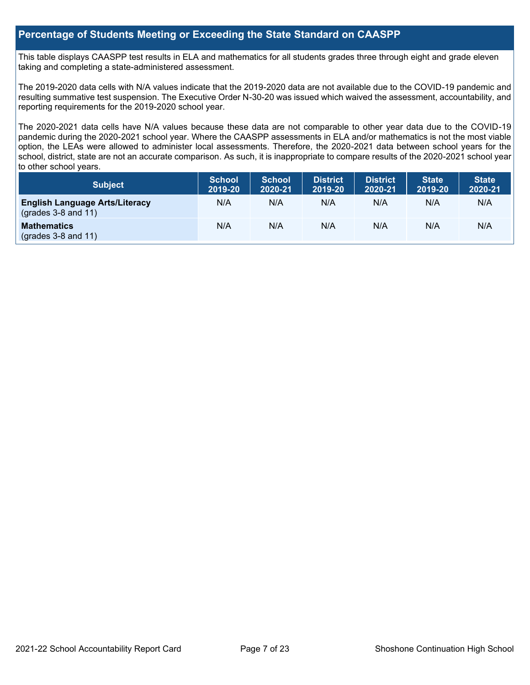#### **Percentage of Students Meeting or Exceeding the State Standard on CAASPP**

This table displays CAASPP test results in ELA and mathematics for all students grades three through eight and grade eleven taking and completing a state-administered assessment.

The 2019-2020 data cells with N/A values indicate that the 2019-2020 data are not available due to the COVID-19 pandemic and resulting summative test suspension. The Executive Order N-30-20 was issued which waived the assessment, accountability, and reporting requirements for the 2019-2020 school year.

The 2020-2021 data cells have N/A values because these data are not comparable to other year data due to the COVID-19 pandemic during the 2020-2021 school year. Where the CAASPP assessments in ELA and/or mathematics is not the most viable option, the LEAs were allowed to administer local assessments. Therefore, the 2020-2021 data between school years for the school, district, state are not an accurate comparison. As such, it is inappropriate to compare results of the 2020-2021 school year to other school years.

| Subject                                                              | <b>School</b><br>2019-20 | <b>School</b><br>2020-21 | <b>District</b><br>2019-20 | <b>District</b><br>2020-21 | <b>State</b><br>2019-20 | <b>State</b><br>2020-21 |
|----------------------------------------------------------------------|--------------------------|--------------------------|----------------------------|----------------------------|-------------------------|-------------------------|
| <b>English Language Arts/Literacy</b><br>$\left($ grades 3-8 and 11) | N/A                      | N/A                      | N/A                        | N/A                        | N/A                     | N/A                     |
| <b>Mathematics</b><br>$(grades 3-8 and 11)$                          | N/A                      | N/A                      | N/A                        | N/A                        | N/A                     | N/A                     |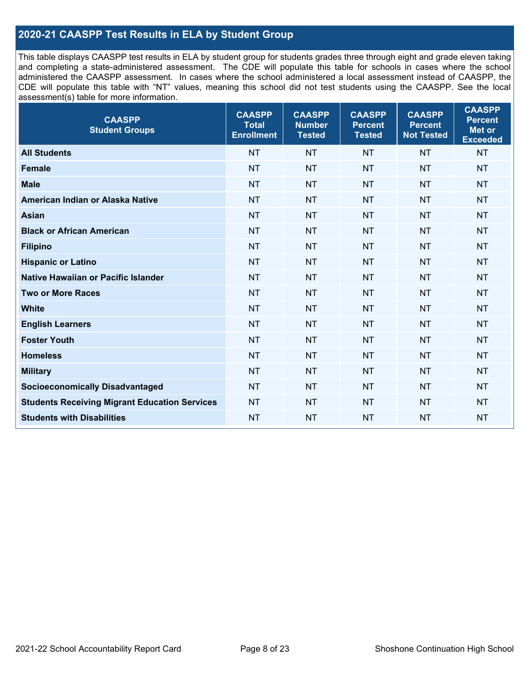### **2020-21 CAASPP Test Results in ELA by Student Group**

This table displays CAASPP test results in ELA by student group for students grades three through eight and grade eleven taking and completing a state-administered assessment. The CDE will populate this table for schools in cases where the school administered the CAASPP assessment. In cases where the school administered a local assessment instead of CAASPP, the CDE will populate this table with "NT" values, meaning this school did not test students using the CAASPP. See the local assessment(s) table for more information.

| <b>CAASPP</b><br><b>Student Groups</b>               | <b>CAASPP</b><br><b>Total</b><br><b>Enrollment</b> | <b>CAASPP</b><br><b>Number</b><br><b>Tested</b> | <b>CAASPP</b><br><b>Percent</b><br><b>Tested</b> | <b>CAASPP</b><br><b>Percent</b><br><b>Not Tested</b> | <b>CAASPP</b><br><b>Percent</b><br>Met or<br><b>Exceeded</b> |
|------------------------------------------------------|----------------------------------------------------|-------------------------------------------------|--------------------------------------------------|------------------------------------------------------|--------------------------------------------------------------|
| <b>All Students</b>                                  | <b>NT</b>                                          | <b>NT</b>                                       | <b>NT</b>                                        | <b>NT</b>                                            | <b>NT</b>                                                    |
| <b>Female</b>                                        | <b>NT</b>                                          | <b>NT</b>                                       | <b>NT</b>                                        | <b>NT</b>                                            | <b>NT</b>                                                    |
| <b>Male</b>                                          | <b>NT</b>                                          | <b>NT</b>                                       | <b>NT</b>                                        | <b>NT</b>                                            | <b>NT</b>                                                    |
| American Indian or Alaska Native                     | <b>NT</b>                                          | <b>NT</b>                                       | <b>NT</b>                                        | <b>NT</b>                                            | <b>NT</b>                                                    |
| <b>Asian</b>                                         | <b>NT</b>                                          | <b>NT</b>                                       | <b>NT</b>                                        | <b>NT</b>                                            | <b>NT</b>                                                    |
| <b>Black or African American</b>                     | <b>NT</b>                                          | <b>NT</b>                                       | <b>NT</b>                                        | <b>NT</b>                                            | NT                                                           |
| <b>Filipino</b>                                      | <b>NT</b>                                          | <b>NT</b>                                       | <b>NT</b>                                        | <b>NT</b>                                            | <b>NT</b>                                                    |
| <b>Hispanic or Latino</b>                            | <b>NT</b>                                          | <b>NT</b>                                       | <b>NT</b>                                        | <b>NT</b>                                            | <b>NT</b>                                                    |
| Native Hawaiian or Pacific Islander                  | <b>NT</b>                                          | <b>NT</b>                                       | <b>NT</b>                                        | <b>NT</b>                                            | <b>NT</b>                                                    |
| <b>Two or More Races</b>                             | <b>NT</b>                                          | <b>NT</b>                                       | <b>NT</b>                                        | <b>NT</b>                                            | <b>NT</b>                                                    |
| <b>White</b>                                         | <b>NT</b>                                          | <b>NT</b>                                       | <b>NT</b>                                        | <b>NT</b>                                            | <b>NT</b>                                                    |
| <b>English Learners</b>                              | <b>NT</b>                                          | <b>NT</b>                                       | <b>NT</b>                                        | <b>NT</b>                                            | <b>NT</b>                                                    |
| <b>Foster Youth</b>                                  | <b>NT</b>                                          | <b>NT</b>                                       | <b>NT</b>                                        | <b>NT</b>                                            | NT                                                           |
| <b>Homeless</b>                                      | <b>NT</b>                                          | <b>NT</b>                                       | <b>NT</b>                                        | <b>NT</b>                                            | <b>NT</b>                                                    |
| <b>Military</b>                                      | <b>NT</b>                                          | <b>NT</b>                                       | <b>NT</b>                                        | <b>NT</b>                                            | <b>NT</b>                                                    |
| <b>Socioeconomically Disadvantaged</b>               | <b>NT</b>                                          | <b>NT</b>                                       | <b>NT</b>                                        | <b>NT</b>                                            | NT                                                           |
| <b>Students Receiving Migrant Education Services</b> | <b>NT</b>                                          | <b>NT</b>                                       | <b>NT</b>                                        | <b>NT</b>                                            | NT                                                           |
| <b>Students with Disabilities</b>                    | <b>NT</b>                                          | <b>NT</b>                                       | <b>NT</b>                                        | <b>NT</b>                                            | <b>NT</b>                                                    |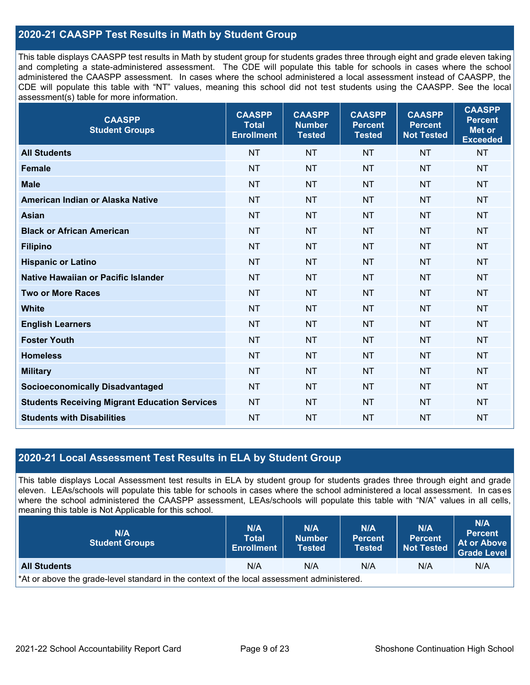#### **2020-21 CAASPP Test Results in Math by Student Group**

This table displays CAASPP test results in Math by student group for students grades three through eight and grade eleven taking and completing a state-administered assessment. The CDE will populate this table for schools in cases where the school administered the CAASPP assessment. In cases where the school administered a local assessment instead of CAASPP, the CDE will populate this table with "NT" values, meaning this school did not test students using the CAASPP. See the local assessment(s) table for more information.

| <b>CAASPP</b><br><b>Student Groups</b>               | <b>CAASPP</b><br><b>Total</b><br><b>Enrollment</b> | <b>CAASPP</b><br><b>Number</b><br><b>Tested</b> | <b>CAASPP</b><br><b>Percent</b><br><b>Tested</b> | <b>CAASPP</b><br><b>Percent</b><br><b>Not Tested</b> | <b>CAASPP</b><br><b>Percent</b><br><b>Met or</b><br><b>Exceeded</b> |
|------------------------------------------------------|----------------------------------------------------|-------------------------------------------------|--------------------------------------------------|------------------------------------------------------|---------------------------------------------------------------------|
| <b>All Students</b>                                  | <b>NT</b>                                          | <b>NT</b>                                       | <b>NT</b>                                        | <b>NT</b>                                            | <b>NT</b>                                                           |
| <b>Female</b>                                        | <b>NT</b>                                          | <b>NT</b>                                       | <b>NT</b>                                        | <b>NT</b>                                            | <b>NT</b>                                                           |
| <b>Male</b>                                          | <b>NT</b>                                          | <b>NT</b>                                       | <b>NT</b>                                        | <b>NT</b>                                            | <b>NT</b>                                                           |
| American Indian or Alaska Native                     | <b>NT</b>                                          | <b>NT</b>                                       | <b>NT</b>                                        | <b>NT</b>                                            | <b>NT</b>                                                           |
| <b>Asian</b>                                         | <b>NT</b>                                          | <b>NT</b>                                       | <b>NT</b>                                        | <b>NT</b>                                            | <b>NT</b>                                                           |
| <b>Black or African American</b>                     | <b>NT</b>                                          | <b>NT</b>                                       | <b>NT</b>                                        | <b>NT</b>                                            | <b>NT</b>                                                           |
| <b>Filipino</b>                                      | <b>NT</b>                                          | <b>NT</b>                                       | <b>NT</b>                                        | <b>NT</b>                                            | <b>NT</b>                                                           |
| <b>Hispanic or Latino</b>                            | <b>NT</b>                                          | <b>NT</b>                                       | <b>NT</b>                                        | <b>NT</b>                                            | <b>NT</b>                                                           |
| Native Hawaiian or Pacific Islander                  | <b>NT</b>                                          | <b>NT</b>                                       | <b>NT</b>                                        | <b>NT</b>                                            | <b>NT</b>                                                           |
| <b>Two or More Races</b>                             | <b>NT</b>                                          | <b>NT</b>                                       | <b>NT</b>                                        | <b>NT</b>                                            | <b>NT</b>                                                           |
| <b>White</b>                                         | <b>NT</b>                                          | <b>NT</b>                                       | <b>NT</b>                                        | <b>NT</b>                                            | <b>NT</b>                                                           |
| <b>English Learners</b>                              | <b>NT</b>                                          | <b>NT</b>                                       | <b>NT</b>                                        | <b>NT</b>                                            | <b>NT</b>                                                           |
| <b>Foster Youth</b>                                  | <b>NT</b>                                          | <b>NT</b>                                       | <b>NT</b>                                        | <b>NT</b>                                            | <b>NT</b>                                                           |
| <b>Homeless</b>                                      | <b>NT</b>                                          | <b>NT</b>                                       | <b>NT</b>                                        | <b>NT</b>                                            | <b>NT</b>                                                           |
| <b>Military</b>                                      | <b>NT</b>                                          | <b>NT</b>                                       | <b>NT</b>                                        | <b>NT</b>                                            | <b>NT</b>                                                           |
| <b>Socioeconomically Disadvantaged</b>               | <b>NT</b>                                          | <b>NT</b>                                       | <b>NT</b>                                        | <b>NT</b>                                            | <b>NT</b>                                                           |
| <b>Students Receiving Migrant Education Services</b> | <b>NT</b>                                          | <b>NT</b>                                       | <b>NT</b>                                        | <b>NT</b>                                            | <b>NT</b>                                                           |
| <b>Students with Disabilities</b>                    | <b>NT</b>                                          | <b>NT</b>                                       | <b>NT</b>                                        | <b>NT</b>                                            | <b>NT</b>                                                           |

#### **2020-21 Local Assessment Test Results in ELA by Student Group**

This table displays Local Assessment test results in ELA by student group for students grades three through eight and grade eleven. LEAs/schools will populate this table for schools in cases where the school administered a local assessment. In cases where the school administered the CAASPP assessment, LEAs/schools will populate this table with "N/A" values in all cells, meaning this table is Not Applicable for this school.

| N/A<br><b>Student Groups</b>                                                               | <b>N/A</b><br><b>Total</b><br><b>Enrollment</b> | N/A<br><b>Number</b><br><b>Tested</b> | N/A<br><b>Percent</b><br><b>Tested</b> | N/A<br><b>Percent</b><br><b>Not Tested</b> | N/A<br><b>Percent</b><br>At or Above<br>Grade Level |  |
|--------------------------------------------------------------------------------------------|-------------------------------------------------|---------------------------------------|----------------------------------------|--------------------------------------------|-----------------------------------------------------|--|
| <b>All Students</b>                                                                        | N/A                                             | N/A                                   | N/A                                    | N/A                                        | N/A                                                 |  |
| *At or above the grade-level standard in the context of the local assessment administered. |                                                 |                                       |                                        |                                            |                                                     |  |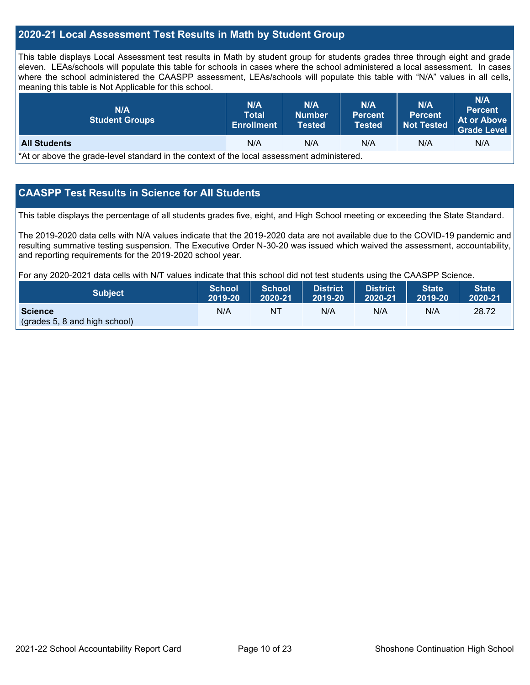#### **2020-21 Local Assessment Test Results in Math by Student Group**

This table displays Local Assessment test results in Math by student group for students grades three through eight and grade eleven. LEAs/schools will populate this table for schools in cases where the school administered a local assessment. In cases where the school administered the CAASPP assessment, LEAs/schools will populate this table with "N/A" values in all cells, meaning this table is Not Applicable for this school.

| N/A<br><b>Student Groups</b>                                                               | <b>N/A</b><br><b>Total</b><br><b>Enrollment</b> | N/A<br><b>Number</b><br>Tested | N/A<br><b>Percent</b><br><b>Tested</b> | N/A<br>Percent.<br><b>Not Tested</b> | N/A<br><b>Percent</b><br>At or Above<br><b>Grade Level</b> |  |
|--------------------------------------------------------------------------------------------|-------------------------------------------------|--------------------------------|----------------------------------------|--------------------------------------|------------------------------------------------------------|--|
| <b>All Students</b>                                                                        | N/A                                             | N/A                            | N/A                                    | N/A                                  | N/A                                                        |  |
| *At or above the grade-level standard in the context of the local assessment administered. |                                                 |                                |                                        |                                      |                                                            |  |

#### **CAASPP Test Results in Science for All Students**

This table displays the percentage of all students grades five, eight, and High School meeting or exceeding the State Standard.

The 2019-2020 data cells with N/A values indicate that the 2019-2020 data are not available due to the COVID-19 pandemic and resulting summative testing suspension. The Executive Order N-30-20 was issued which waived the assessment, accountability, and reporting requirements for the 2019-2020 school year.

For any 2020-2021 data cells with N/T values indicate that this school did not test students using the CAASPP Science.

| Subject                                         | School  | School  | <b>District</b> | <b>District</b> | <b>State</b> | <b>State</b> |
|-------------------------------------------------|---------|---------|-----------------|-----------------|--------------|--------------|
|                                                 | 2019-20 | 2020-21 | $12019-20$      | 2020-21         | 2019-20      | 2020-21      |
| <b>Science</b><br>(grades 5, 8 and high school) | N/A     | NΤ      | N/A             | N/A             | N/A          | 28.72        |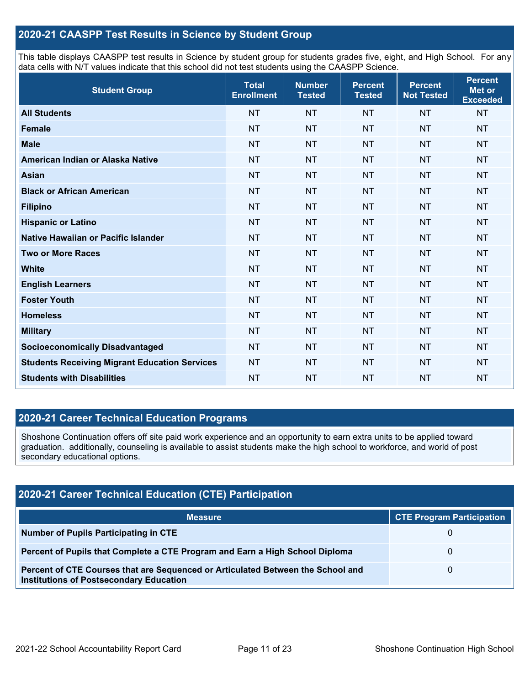#### **2020-21 CAASPP Test Results in Science by Student Group**

This table displays CAASPP test results in Science by student group for students grades five, eight, and High School. For any data cells with N/T values indicate that this school did not test students using the CAASPP Science.

| <b>Student Group</b>                                 | <b>Total</b><br><b>Enrollment</b> | <b>Number</b><br><b>Tested</b> | <b>Percent</b><br><b>Tested</b> | <b>Percent</b><br><b>Not Tested</b> | <b>Percent</b><br><b>Met or</b><br><b>Exceeded</b> |
|------------------------------------------------------|-----------------------------------|--------------------------------|---------------------------------|-------------------------------------|----------------------------------------------------|
| <b>All Students</b>                                  | <b>NT</b>                         | <b>NT</b>                      | <b>NT</b>                       | <b>NT</b>                           | <b>NT</b>                                          |
| <b>Female</b>                                        | <b>NT</b>                         | <b>NT</b>                      | <b>NT</b>                       | <b>NT</b>                           | <b>NT</b>                                          |
| <b>Male</b>                                          | <b>NT</b>                         | <b>NT</b>                      | <b>NT</b>                       | <b>NT</b>                           | <b>NT</b>                                          |
| American Indian or Alaska Native                     | <b>NT</b>                         | <b>NT</b>                      | <b>NT</b>                       | <b>NT</b>                           | <b>NT</b>                                          |
| <b>Asian</b>                                         | <b>NT</b>                         | <b>NT</b>                      | <b>NT</b>                       | <b>NT</b>                           | <b>NT</b>                                          |
| <b>Black or African American</b>                     | <b>NT</b>                         | <b>NT</b>                      | <b>NT</b>                       | <b>NT</b>                           | <b>NT</b>                                          |
| <b>Filipino</b>                                      | <b>NT</b>                         | <b>NT</b>                      | <b>NT</b>                       | <b>NT</b>                           | <b>NT</b>                                          |
| <b>Hispanic or Latino</b>                            | <b>NT</b>                         | <b>NT</b>                      | <b>NT</b>                       | <b>NT</b>                           | <b>NT</b>                                          |
| Native Hawaiian or Pacific Islander                  | <b>NT</b>                         | <b>NT</b>                      | <b>NT</b>                       | <b>NT</b>                           | <b>NT</b>                                          |
| <b>Two or More Races</b>                             | <b>NT</b>                         | <b>NT</b>                      | <b>NT</b>                       | <b>NT</b>                           | <b>NT</b>                                          |
| <b>White</b>                                         | <b>NT</b>                         | <b>NT</b>                      | <b>NT</b>                       | <b>NT</b>                           | <b>NT</b>                                          |
| <b>English Learners</b>                              | <b>NT</b>                         | <b>NT</b>                      | <b>NT</b>                       | <b>NT</b>                           | <b>NT</b>                                          |
| <b>Foster Youth</b>                                  | <b>NT</b>                         | <b>NT</b>                      | <b>NT</b>                       | <b>NT</b>                           | <b>NT</b>                                          |
| <b>Homeless</b>                                      | <b>NT</b>                         | <b>NT</b>                      | <b>NT</b>                       | <b>NT</b>                           | <b>NT</b>                                          |
| <b>Military</b>                                      | <b>NT</b>                         | <b>NT</b>                      | <b>NT</b>                       | <b>NT</b>                           | <b>NT</b>                                          |
| <b>Socioeconomically Disadvantaged</b>               | <b>NT</b>                         | <b>NT</b>                      | <b>NT</b>                       | <b>NT</b>                           | <b>NT</b>                                          |
| <b>Students Receiving Migrant Education Services</b> | <b>NT</b>                         | <b>NT</b>                      | <b>NT</b>                       | <b>NT</b>                           | <b>NT</b>                                          |
| <b>Students with Disabilities</b>                    | <b>NT</b>                         | <b>NT</b>                      | <b>NT</b>                       | <b>NT</b>                           | <b>NT</b>                                          |

#### **2020-21 Career Technical Education Programs**

Shoshone Continuation offers off site paid work experience and an opportunity to earn extra units to be applied toward graduation. additionally, counseling is available to assist students make the high school to workforce, and world of post secondary educational options.

| <b>2020-21 Career Technical Education (CTE) Participation</b>                                                                     |                                  |  |  |  |  |  |
|-----------------------------------------------------------------------------------------------------------------------------------|----------------------------------|--|--|--|--|--|
| <b>Measure</b>                                                                                                                    | <b>CTE Program Participation</b> |  |  |  |  |  |
| <b>Number of Pupils Participating in CTE</b>                                                                                      |                                  |  |  |  |  |  |
| Percent of Pupils that Complete a CTE Program and Earn a High School Diploma                                                      |                                  |  |  |  |  |  |
| Percent of CTE Courses that are Sequenced or Articulated Between the School and<br><b>Institutions of Postsecondary Education</b> |                                  |  |  |  |  |  |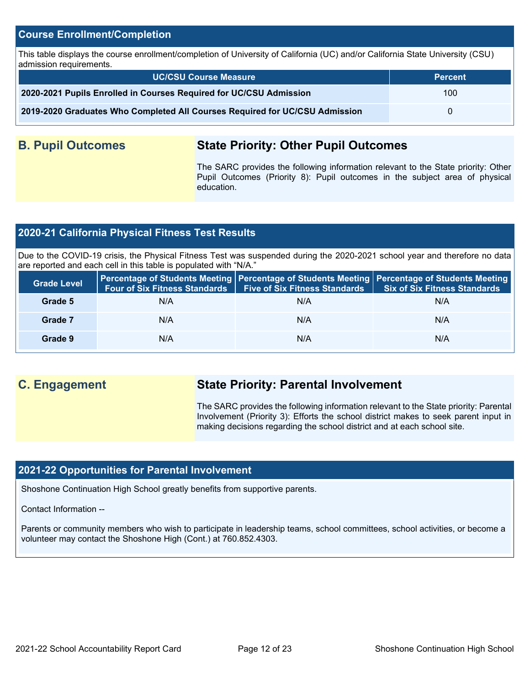#### **Course Enrollment/Completion**

This table displays the course enrollment/completion of University of California (UC) and/or California State University (CSU) admission requirements.

| <b>UC/CSU Course Measure</b>                                                | <b>Percent</b>   |
|-----------------------------------------------------------------------------|------------------|
| 2020-2021 Pupils Enrolled in Courses Required for UC/CSU Admission          | 100 <sup>°</sup> |
| 2019-2020 Graduates Who Completed All Courses Required for UC/CSU Admission |                  |

## **B. Pupil Outcomes State Priority: Other Pupil Outcomes**

The SARC provides the following information relevant to the State priority: Other Pupil Outcomes (Priority 8): Pupil outcomes in the subject area of physical education.

#### **2020-21 California Physical Fitness Test Results**

Due to the COVID-19 crisis, the Physical Fitness Test was suspended during the 2020-2021 school year and therefore no data are reported and each cell in this table is populated with "N/A."

| <b>Grade Level</b> |     | Four of Six Fitness Standards   Five of Six Fitness Standards | Percentage of Students Meeting   Percentage of Students Meeting   Percentage of Students Meeting<br><b>Six of Six Fitness Standards</b> |
|--------------------|-----|---------------------------------------------------------------|-----------------------------------------------------------------------------------------------------------------------------------------|
| Grade 5            | N/A | N/A                                                           | N/A                                                                                                                                     |
| Grade 7            | N/A | N/A                                                           | N/A                                                                                                                                     |
| Grade 9            | N/A | N/A                                                           | N/A                                                                                                                                     |

## **C. Engagement State Priority: Parental Involvement**

The SARC provides the following information relevant to the State priority: Parental Involvement (Priority 3): Efforts the school district makes to seek parent input in making decisions regarding the school district and at each school site.

#### **2021-22 Opportunities for Parental Involvement**

Shoshone Continuation High School greatly benefits from supportive parents.

Contact Information --

Parents or community members who wish to participate in leadership teams, school committees, school activities, or become a volunteer may contact the Shoshone High (Cont.) at 760.852.4303.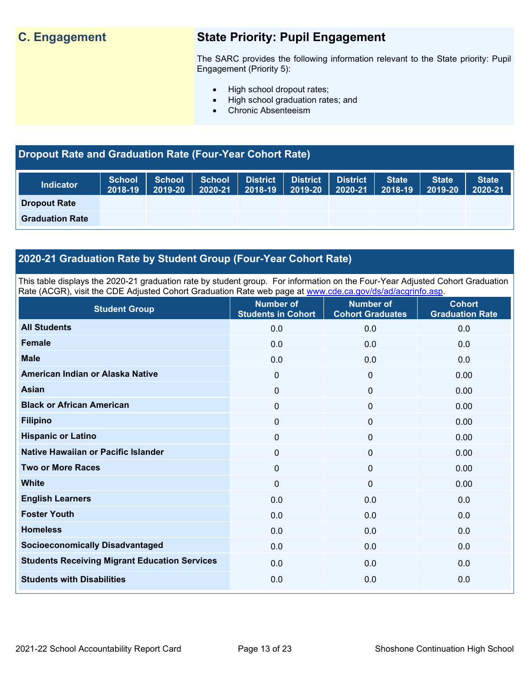## **C. Engagement State Priority: Pupil Engagement**

The SARC provides the following information relevant to the State priority: Pupil Engagement (Priority 5):

- High school dropout rates;
- High school graduation rates; and
- Chronic Absenteeism

## **Dropout Rate and Graduation Rate (Four-Year Cohort Rate)**

| <b>Indicator</b>       | <b>School</b><br>2018-19 | <b>School</b><br>2019-20 | <b>School</b><br>2020-21 | District<br>2018-19 | <b>District</b><br>2019-20 | District<br>2020-21 | <b>State</b><br>2018-19 | <b>State</b><br>2019-20 | <b>State</b><br>2020-21 |
|------------------------|--------------------------|--------------------------|--------------------------|---------------------|----------------------------|---------------------|-------------------------|-------------------------|-------------------------|
| <b>Dropout Rate</b>    |                          |                          |                          |                     |                            |                     |                         |                         |                         |
| <b>Graduation Rate</b> |                          |                          |                          |                     |                            |                     |                         |                         |                         |

#### **2020-21 Graduation Rate by Student Group (Four-Year Cohort Rate)**

This table displays the 2020-21 graduation rate by student group. For information on the Four-Year Adjusted Cohort Graduation Rate (ACGR), visit the CDE Adjusted Cohort Graduation Rate web page at [www.cde.ca.gov/ds/ad/acgrinfo.asp.](http://www.cde.ca.gov/ds/ad/acgrinfo.asp)

| <b>Student Group</b>                                 | <b>Number of</b><br><b>Students in Cohort</b> | <b>Number of</b><br><b>Cohort Graduates</b> | <b>Cohort</b><br><b>Graduation Rate</b> |
|------------------------------------------------------|-----------------------------------------------|---------------------------------------------|-----------------------------------------|
| <b>All Students</b>                                  | 0.0                                           | 0.0                                         | 0.0                                     |
| <b>Female</b>                                        | 0.0                                           | 0.0                                         | 0.0                                     |
| <b>Male</b>                                          | 0.0                                           | 0.0                                         | 0.0                                     |
| American Indian or Alaska Native                     | $\mathbf 0$                                   | $\mathbf 0$                                 | 0.00                                    |
| <b>Asian</b>                                         | 0                                             | $\mathbf 0$                                 | 0.00                                    |
| <b>Black or African American</b>                     | 0                                             | $\mathbf 0$                                 | 0.00                                    |
| <b>Filipino</b>                                      | 0                                             | $\mathbf 0$                                 | 0.00                                    |
| <b>Hispanic or Latino</b>                            | 0                                             | $\mathbf 0$                                 | 0.00                                    |
| Native Hawaiian or Pacific Islander                  | 0                                             | $\mathbf 0$                                 | 0.00                                    |
| <b>Two or More Races</b>                             | 0                                             | $\mathbf 0$                                 | 0.00                                    |
| <b>White</b>                                         | $\Omega$                                      | $\mathbf 0$                                 | 0.00                                    |
| <b>English Learners</b>                              | 0.0                                           | 0.0                                         | 0.0                                     |
| <b>Foster Youth</b>                                  | 0.0                                           | 0.0                                         | 0.0                                     |
| <b>Homeless</b>                                      | 0.0                                           | 0.0                                         | 0.0                                     |
| <b>Socioeconomically Disadvantaged</b>               | 0.0                                           | 0.0                                         | 0.0                                     |
| <b>Students Receiving Migrant Education Services</b> | 0.0                                           | 0.0                                         | 0.0                                     |
| <b>Students with Disabilities</b>                    | 0.0                                           | 0.0                                         | 0.0                                     |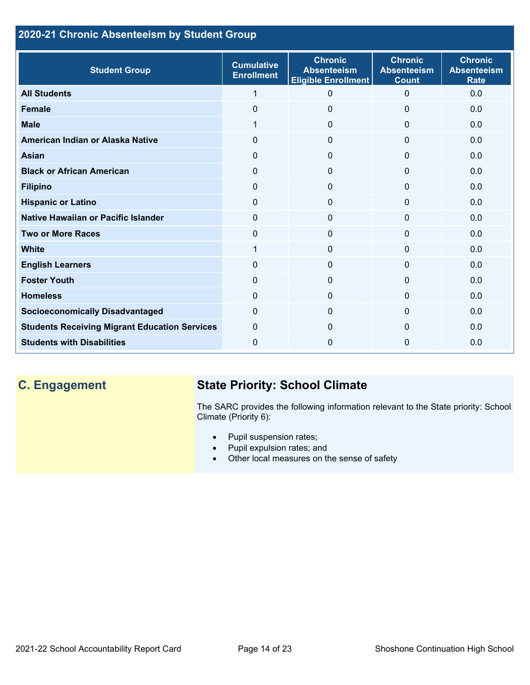## **2020-21 Chronic Absenteeism by Student Group**

| <b>Student Group</b>                                 | <b>Cumulative</b><br><b>Enrollment</b> | <b>Chronic</b><br><b>Absenteeism</b><br><b>Eligible Enrollment</b> | <b>Chronic</b><br><b>Absenteeism</b><br><b>Count</b> | <b>Chronic</b><br><b>Absenteeism</b><br><b>Rate</b> |
|------------------------------------------------------|----------------------------------------|--------------------------------------------------------------------|------------------------------------------------------|-----------------------------------------------------|
| <b>All Students</b>                                  | 1                                      | 0                                                                  | $\Omega$                                             | 0.0                                                 |
| <b>Female</b>                                        | $\mathbf{0}$                           | 0                                                                  | $\Omega$                                             | 0.0                                                 |
| <b>Male</b>                                          | 1                                      | $\Omega$                                                           | $\mathbf{0}$                                         | 0.0                                                 |
| American Indian or Alaska Native                     | 0                                      | 0                                                                  | $\mathbf{0}$                                         | 0.0                                                 |
| <b>Asian</b>                                         | 0                                      | $\mathbf{0}$                                                       | $\mathbf{0}$                                         | 0.0                                                 |
| <b>Black or African American</b>                     | $\Omega$                               | $\mathbf 0$                                                        | $\mathbf{0}$                                         | 0.0                                                 |
| <b>Filipino</b>                                      | $\Omega$                               | $\Omega$                                                           | $\mathbf{0}$                                         | 0.0                                                 |
| <b>Hispanic or Latino</b>                            | 0                                      | $\Omega$                                                           | 0                                                    | 0.0                                                 |
| <b>Native Hawaiian or Pacific Islander</b>           | 0                                      | $\Omega$                                                           | $\mathbf 0$                                          | 0.0                                                 |
| <b>Two or More Races</b>                             | $\Omega$                               | $\Omega$                                                           | $\mathbf{0}$                                         | 0.0                                                 |
| <b>White</b>                                         | 1                                      | 0                                                                  | $\Omega$                                             | 0.0                                                 |
| <b>English Learners</b>                              | $\Omega$                               | 0                                                                  | $\Omega$                                             | 0.0                                                 |
| <b>Foster Youth</b>                                  | $\Omega$                               | $\Omega$                                                           | $\Omega$                                             | 0.0                                                 |
| <b>Homeless</b>                                      | 0                                      | $\Omega$                                                           | $\Omega$                                             | 0.0                                                 |
| <b>Socioeconomically Disadvantaged</b>               | $\Omega$                               | $\Omega$                                                           | $\Omega$                                             | 0.0                                                 |
| <b>Students Receiving Migrant Education Services</b> | $\mathbf{0}$                           | $\Omega$                                                           | $\Omega$                                             | 0.0                                                 |
| <b>Students with Disabilities</b>                    | 0                                      | 0                                                                  | $\Omega$                                             | 0.0                                                 |

## **C. Engagement State Priority: School Climate**

The SARC provides the following information relevant to the State priority: School Climate (Priority 6):

- Pupil suspension rates;
- Pupil expulsion rates; and
- Other local measures on the sense of safety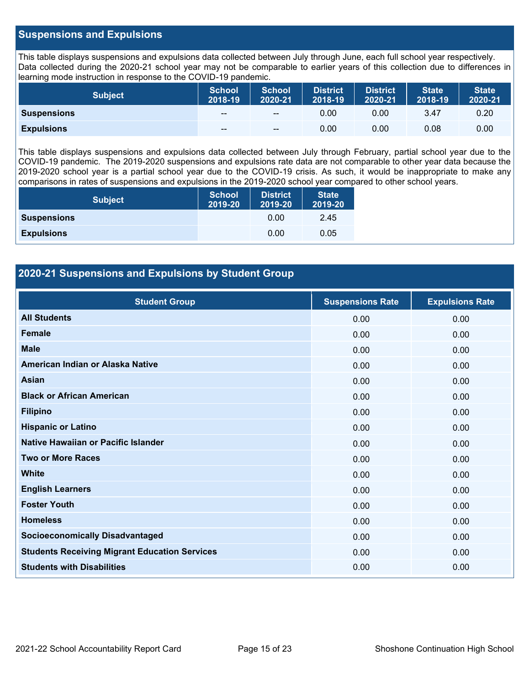#### **Suspensions and Expulsions**

This table displays suspensions and expulsions data collected between July through June, each full school year respectively. Data collected during the 2020-21 school year may not be comparable to earlier years of this collection due to differences in learning mode instruction in response to the COVID-19 pandemic.

| Subject            | <b>School</b><br>2018-19 | <b>School</b><br>2020-21 | District<br>2018-19 | <b>District</b><br>2020-21 | <b>State</b><br>2018-19 | <b>State</b><br>2020-21 |
|--------------------|--------------------------|--------------------------|---------------------|----------------------------|-------------------------|-------------------------|
| <b>Suspensions</b> | $- -$                    | $- -$                    | 0.00                | 0.00                       | 3.47                    | 0.20                    |
| <b>Expulsions</b>  | $- -$                    | $-$                      | 0.00                | 0.00                       | 0.08                    | 0.00                    |

This table displays suspensions and expulsions data collected between July through February, partial school year due to the COVID-19 pandemic. The 2019-2020 suspensions and expulsions rate data are not comparable to other year data because the 2019-2020 school year is a partial school year due to the COVID-19 crisis. As such, it would be inappropriate to make any comparisons in rates of suspensions and expulsions in the 2019-2020 school year compared to other school years.

| <b>Subject</b>     | <b>School</b><br>2019-20 | <b>District</b><br>2019-20 | <b>State</b><br>2019-20 |
|--------------------|--------------------------|----------------------------|-------------------------|
| <b>Suspensions</b> |                          | 0.00                       | 2.45                    |
| <b>Expulsions</b>  |                          | 0.00                       | 0.05                    |

#### **2020-21 Suspensions and Expulsions by Student Group**

| <b>Student Group</b>                                 | <b>Suspensions Rate</b> | <b>Expulsions Rate</b> |
|------------------------------------------------------|-------------------------|------------------------|
| <b>All Students</b>                                  | 0.00                    | 0.00                   |
| <b>Female</b>                                        | 0.00                    | 0.00                   |
| <b>Male</b>                                          | 0.00                    | 0.00                   |
| American Indian or Alaska Native                     | 0.00                    | 0.00                   |
| Asian                                                | 0.00                    | 0.00                   |
| <b>Black or African American</b>                     | 0.00                    | 0.00                   |
| <b>Filipino</b>                                      | 0.00                    | 0.00                   |
| <b>Hispanic or Latino</b>                            | 0.00                    | 0.00                   |
| Native Hawaiian or Pacific Islander                  | 0.00                    | 0.00                   |
| <b>Two or More Races</b>                             | 0.00                    | 0.00                   |
| <b>White</b>                                         | 0.00                    | 0.00                   |
| <b>English Learners</b>                              | 0.00                    | 0.00                   |
| <b>Foster Youth</b>                                  | 0.00                    | 0.00                   |
| <b>Homeless</b>                                      | 0.00                    | 0.00                   |
| <b>Socioeconomically Disadvantaged</b>               | 0.00                    | 0.00                   |
| <b>Students Receiving Migrant Education Services</b> | 0.00                    | 0.00                   |
| <b>Students with Disabilities</b>                    | 0.00                    | 0.00                   |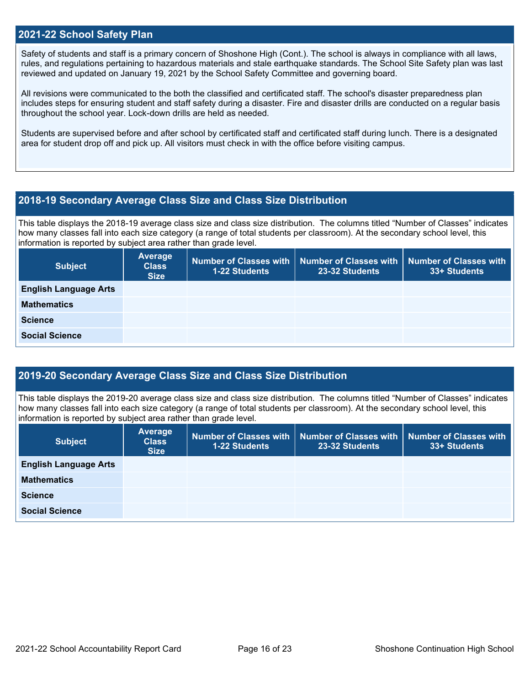#### **2021-22 School Safety Plan**

Safety of students and staff is a primary concern of Shoshone High (Cont.). The school is always in compliance with all laws, rules, and regulations pertaining to hazardous materials and stale earthquake standards. The School Site Safety plan was last reviewed and updated on January 19, 2021 by the School Safety Committee and governing board.

All revisions were communicated to the both the classified and certificated staff. The school's disaster preparedness plan includes steps for ensuring student and staff safety during a disaster. Fire and disaster drills are conducted on a regular basis throughout the school year. Lock-down drills are held as needed.

Students are supervised before and after school by certificated staff and certificated staff during lunch. There is a designated area for student drop off and pick up. All visitors must check in with the office before visiting campus.

#### **2018-19 Secondary Average Class Size and Class Size Distribution**

This table displays the 2018-19 average class size and class size distribution. The columns titled "Number of Classes" indicates how many classes fall into each size category (a range of total students per classroom). At the secondary school level, this information is reported by subject area rather than grade level.

| <b>Subject</b>               | Average<br><b>Class</b><br><b>Size</b> | <b>Number of Classes with</b><br><b>1-22 Students</b> | 23-32 Students | Number of Classes with   Number of Classes with<br>33+ Students |
|------------------------------|----------------------------------------|-------------------------------------------------------|----------------|-----------------------------------------------------------------|
| <b>English Language Arts</b> |                                        |                                                       |                |                                                                 |
| <b>Mathematics</b>           |                                        |                                                       |                |                                                                 |
| <b>Science</b>               |                                        |                                                       |                |                                                                 |
| <b>Social Science</b>        |                                        |                                                       |                |                                                                 |

#### **2019-20 Secondary Average Class Size and Class Size Distribution**

This table displays the 2019-20 average class size and class size distribution. The columns titled "Number of Classes" indicates how many classes fall into each size category (a range of total students per classroom). At the secondary school level, this information is reported by subject area rather than grade level.

| <b>Subject</b>               | <b>Average</b><br><b>Class</b><br><b>Size</b> | <b>1-22 Students</b> | Number of Classes with   Number of Classes with  <br>23-32 Students | Number of Classes with<br>33+ Students |
|------------------------------|-----------------------------------------------|----------------------|---------------------------------------------------------------------|----------------------------------------|
| <b>English Language Arts</b> |                                               |                      |                                                                     |                                        |
| <b>Mathematics</b>           |                                               |                      |                                                                     |                                        |
| <b>Science</b>               |                                               |                      |                                                                     |                                        |
| <b>Social Science</b>        |                                               |                      |                                                                     |                                        |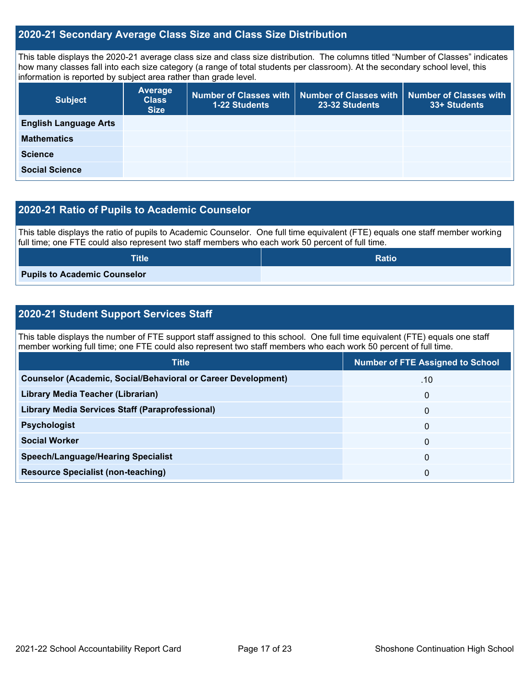#### **2020-21 Secondary Average Class Size and Class Size Distribution**

This table displays the 2020-21 average class size and class size distribution. The columns titled "Number of Classes" indicates how many classes fall into each size category (a range of total students per classroom). At the secondary school level, this information is reported by subject area rather than grade level.

| <b>Subject</b>               | Average<br><b>Class</b><br><b>Size</b> | 1-22 Students | Number of Classes with   Number of Classes with  <br>23-32 Students | <b>Number of Classes with</b><br>33+ Students |
|------------------------------|----------------------------------------|---------------|---------------------------------------------------------------------|-----------------------------------------------|
| <b>English Language Arts</b> |                                        |               |                                                                     |                                               |
| <b>Mathematics</b>           |                                        |               |                                                                     |                                               |
| <b>Science</b>               |                                        |               |                                                                     |                                               |
| <b>Social Science</b>        |                                        |               |                                                                     |                                               |

#### **2020-21 Ratio of Pupils to Academic Counselor**

This table displays the ratio of pupils to Academic Counselor. One full time equivalent (FTE) equals one staff member working full time; one FTE could also represent two staff members who each work 50 percent of full time.

| <b>Title</b>                 | <b>Ratio</b> |
|------------------------------|--------------|
| Pupils to Academic Counselor |              |

### **2020-21 Student Support Services Staff**

This table displays the number of FTE support staff assigned to this school. One full time equivalent (FTE) equals one staff member working full time; one FTE could also represent two staff members who each work 50 percent of full time.

| <b>Title</b>                                                         | <b>Number of FTE Assigned to School</b> |
|----------------------------------------------------------------------|-----------------------------------------|
| <b>Counselor (Academic, Social/Behavioral or Career Development)</b> | .10                                     |
| Library Media Teacher (Librarian)                                    | $\mathbf{0}$                            |
| <b>Library Media Services Staff (Paraprofessional)</b>               | $\mathbf{0}$                            |
| <b>Psychologist</b>                                                  | 0                                       |
| <b>Social Worker</b>                                                 | $\mathbf{0}$                            |
| <b>Speech/Language/Hearing Specialist</b>                            | $\mathbf{0}$                            |
| <b>Resource Specialist (non-teaching)</b>                            | 0                                       |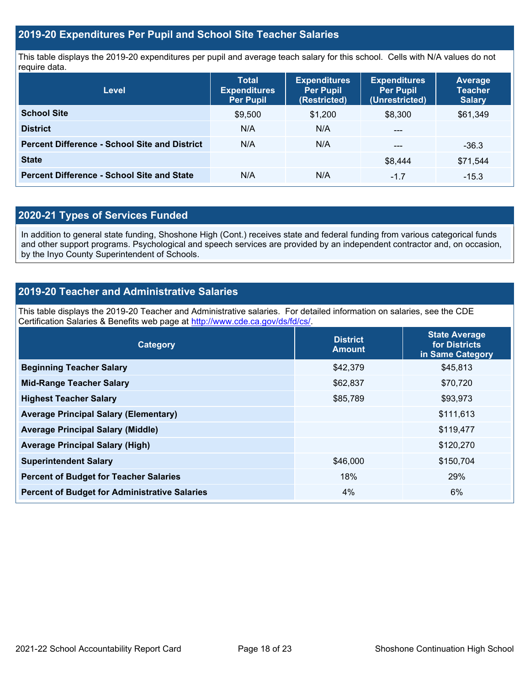#### **2019-20 Expenditures Per Pupil and School Site Teacher Salaries**

This table displays the 2019-20 expenditures per pupil and average teach salary for this school. Cells with N/A values do not require data.

| <b>Level</b>                                         | <b>Total</b><br><b>Expenditures</b><br><b>Per Pupil</b> | <b>Expenditures</b><br><b>Per Pupil</b><br>(Restricted) | <b>Expenditures</b><br><b>Per Pupil</b><br>(Unrestricted) | <b>Average</b><br><b>Teacher</b><br><b>Salary</b> |
|------------------------------------------------------|---------------------------------------------------------|---------------------------------------------------------|-----------------------------------------------------------|---------------------------------------------------|
| <b>School Site</b>                                   | \$9,500                                                 | \$1,200                                                 | \$8,300                                                   | \$61,349                                          |
| <b>District</b>                                      | N/A                                                     | N/A                                                     | $---$                                                     |                                                   |
| <b>Percent Difference - School Site and District</b> | N/A                                                     | N/A                                                     | $---$                                                     | $-36.3$                                           |
| <b>State</b>                                         |                                                         |                                                         | \$8.444                                                   | \$71,544                                          |
| <b>Percent Difference - School Site and State</b>    | N/A                                                     | N/A                                                     | $-1.7$                                                    | $-15.3$                                           |

## **2020-21 Types of Services Funded**

In addition to general state funding, Shoshone High (Cont.) receives state and federal funding from various categorical funds and other support programs. Psychological and speech services are provided by an independent contractor and, on occasion, by the Inyo County Superintendent of Schools.

### **2019-20 Teacher and Administrative Salaries**

This table displays the 2019-20 Teacher and Administrative salaries. For detailed information on salaries, see the CDE Certification Salaries & Benefits web page at [http://www.cde.ca.gov/ds/fd/cs/.](http://www.cde.ca.gov/ds/fd/cs/)

| Category                                             | <b>District</b><br><b>Amount</b> | <b>State Average</b><br>for Districts<br>in Same Category |
|------------------------------------------------------|----------------------------------|-----------------------------------------------------------|
| <b>Beginning Teacher Salary</b>                      | \$42,379                         | \$45,813                                                  |
| <b>Mid-Range Teacher Salary</b>                      | \$62,837                         | \$70,720                                                  |
| <b>Highest Teacher Salary</b>                        | \$85,789                         | \$93,973                                                  |
| <b>Average Principal Salary (Elementary)</b>         |                                  | \$111,613                                                 |
| <b>Average Principal Salary (Middle)</b>             |                                  | \$119,477                                                 |
| <b>Average Principal Salary (High)</b>               |                                  | \$120,270                                                 |
| <b>Superintendent Salary</b>                         | \$46,000                         | \$150,704                                                 |
| <b>Percent of Budget for Teacher Salaries</b>        | 18%                              | 29%                                                       |
| <b>Percent of Budget for Administrative Salaries</b> | 4%                               | 6%                                                        |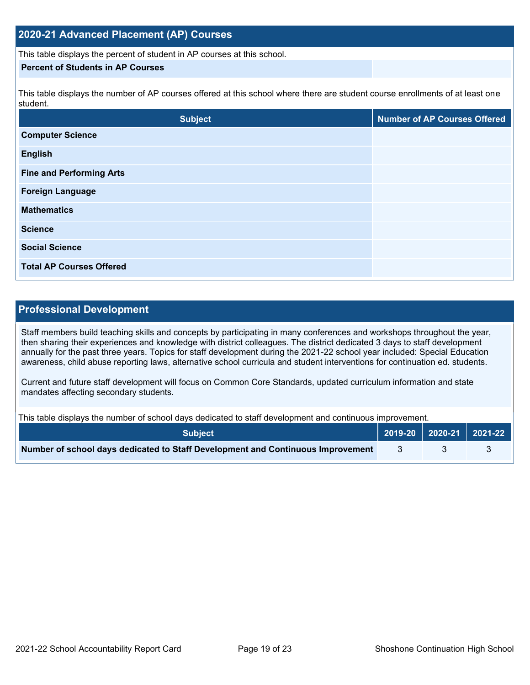#### **2020-21 Advanced Placement (AP) Courses**

This table displays the percent of student in AP courses at this school.

#### **Percent of Students in AP Courses**

This table displays the number of AP courses offered at this school where there are student course enrollments of at least one student.

| <b>Subject</b>                  | <b>Number of AP Courses Offered</b> |
|---------------------------------|-------------------------------------|
| <b>Computer Science</b>         |                                     |
| <b>English</b>                  |                                     |
| <b>Fine and Performing Arts</b> |                                     |
| <b>Foreign Language</b>         |                                     |
| <b>Mathematics</b>              |                                     |
| <b>Science</b>                  |                                     |
| <b>Social Science</b>           |                                     |
| <b>Total AP Courses Offered</b> |                                     |

## **Professional Development**

Staff members build teaching skills and concepts by participating in many conferences and workshops throughout the year, then sharing their experiences and knowledge with district colleagues. The district dedicated 3 days to staff development annually for the past three years. Topics for staff development during the 2021-22 school year included: Special Education awareness, child abuse reporting laws, alternative school curricula and student interventions for continuation ed. students.

Current and future staff development will focus on Common Core Standards, updated curriculum information and state mandates affecting secondary students.

This table displays the number of school days dedicated to staff development and continuous improvement.

| <b>Subject</b>                                                                  | 2019-20   2020-21   2021-22 |  |
|---------------------------------------------------------------------------------|-----------------------------|--|
| Number of school days dedicated to Staff Development and Continuous Improvement |                             |  |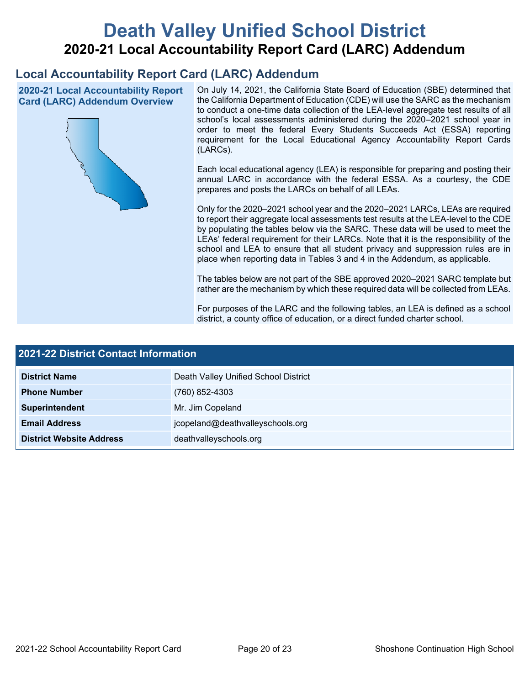# **Death Valley Unified School District 2020-21 Local Accountability Report Card (LARC) Addendum**

## **Local Accountability Report Card (LARC) Addendum**

**2020-21 Local Accountability Report Card (LARC) Addendum Overview**



On July 14, 2021, the California State Board of Education (SBE) determined that the California Department of Education (CDE) will use the SARC as the mechanism to conduct a one-time data collection of the LEA-level aggregate test results of all school's local assessments administered during the 2020–2021 school year in order to meet the federal Every Students Succeeds Act (ESSA) reporting requirement for the Local Educational Agency Accountability Report Cards (LARCs).

Each local educational agency (LEA) is responsible for preparing and posting their annual LARC in accordance with the federal ESSA. As a courtesy, the CDE prepares and posts the LARCs on behalf of all LEAs.

Only for the 2020–2021 school year and the 2020–2021 LARCs, LEAs are required to report their aggregate local assessments test results at the LEA-level to the CDE by populating the tables below via the SARC. These data will be used to meet the LEAs' federal requirement for their LARCs. Note that it is the responsibility of the school and LEA to ensure that all student privacy and suppression rules are in place when reporting data in Tables 3 and 4 in the Addendum, as applicable.

The tables below are not part of the SBE approved 2020–2021 SARC template but rather are the mechanism by which these required data will be collected from LEAs.

For purposes of the LARC and the following tables, an LEA is defined as a school district, a county office of education, or a direct funded charter school.

| <b>2021-22 District Contact Information</b> |                                      |  |  |
|---------------------------------------------|--------------------------------------|--|--|
| <b>District Name</b>                        | Death Valley Unified School District |  |  |
| <b>Phone Number</b>                         | (760) 852-4303                       |  |  |
| Superintendent                              | Mr. Jim Copeland                     |  |  |
| <b>Email Address</b>                        | jcopeland@deathvalleyschools.org     |  |  |
| <b>District Website Address</b>             | deathvalleyschools.org               |  |  |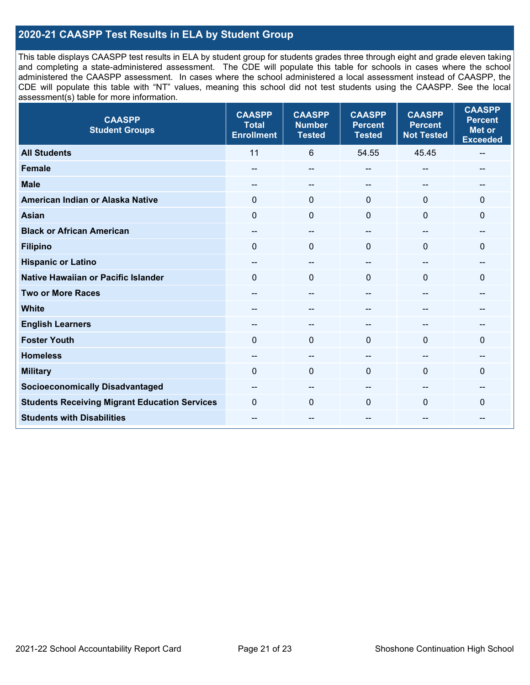### **2020-21 CAASPP Test Results in ELA by Student Group**

This table displays CAASPP test results in ELA by student group for students grades three through eight and grade eleven taking and completing a state-administered assessment. The CDE will populate this table for schools in cases where the school administered the CAASPP assessment. In cases where the school administered a local assessment instead of CAASPP, the CDE will populate this table with "NT" values, meaning this school did not test students using the CAASPP. See the local assessment(s) table for more information.

| <b>CAASPP</b><br><b>Student Groups</b>               | <b>CAASPP</b><br><b>Total</b><br><b>Enrollment</b> | <b>CAASPP</b><br><b>Number</b><br><b>Tested</b> | <b>CAASPP</b><br><b>Percent</b><br><b>Tested</b> | <b>CAASPP</b><br><b>Percent</b><br><b>Not Tested</b> | <b>CAASPP</b><br><b>Percent</b><br><b>Met or</b><br><b>Exceeded</b> |
|------------------------------------------------------|----------------------------------------------------|-------------------------------------------------|--------------------------------------------------|------------------------------------------------------|---------------------------------------------------------------------|
| <b>All Students</b>                                  | 11                                                 | 6                                               | 54.55                                            | 45.45                                                | $\overline{\phantom{a}}$                                            |
| <b>Female</b>                                        | --                                                 | --                                              | --                                               | --                                                   | --                                                                  |
| <b>Male</b>                                          | --                                                 | $\overline{\phantom{m}}$                        | --                                               | --                                                   | --                                                                  |
| American Indian or Alaska Native                     | 0                                                  | $\pmb{0}$                                       | $\mathbf 0$                                      | $\mathbf{0}$                                         | $\mathbf 0$                                                         |
| <b>Asian</b>                                         | $\mathbf 0$                                        | $\mathbf 0$                                     | $\mathbf{0}$                                     | $\Omega$                                             | $\mathbf{0}$                                                        |
| <b>Black or African American</b>                     | $\overline{\phantom{a}}$                           | $\overline{\phantom{a}}$                        | --                                               | $\overline{\phantom{a}}$                             | --                                                                  |
| <b>Filipino</b>                                      | $\mathbf 0$                                        | $\mathbf{0}$                                    | $\Omega$                                         | $\Omega$                                             | $\mathbf 0$                                                         |
| <b>Hispanic or Latino</b>                            | --                                                 | $\overline{\phantom{a}}$                        | --                                               | $\sim$                                               | --                                                                  |
| <b>Native Hawaiian or Pacific Islander</b>           | $\Omega$                                           | $\mathbf 0$                                     | $\mathbf{0}$                                     | $\mathbf{0}$                                         | $\mathbf 0$                                                         |
| <b>Two or More Races</b>                             | --                                                 | $-$                                             | --                                               | $-$                                                  | --                                                                  |
| <b>White</b>                                         | --                                                 | --                                              | --                                               | --                                                   | --                                                                  |
| <b>English Learners</b>                              | $- -$                                              | --                                              |                                                  |                                                      | --                                                                  |
| <b>Foster Youth</b>                                  | $\Omega$                                           | $\mathbf 0$                                     | $\mathbf{0}$                                     | $\Omega$                                             | $\mathbf{0}$                                                        |
| <b>Homeless</b>                                      | --                                                 | --                                              | --                                               | --                                                   |                                                                     |
| <b>Military</b>                                      | $\Omega$                                           | $\mathbf 0$                                     | $\mathbf{0}$                                     | 0                                                    | $\Omega$                                                            |
| <b>Socioeconomically Disadvantaged</b>               | --                                                 | --                                              | --                                               |                                                      | --                                                                  |
| <b>Students Receiving Migrant Education Services</b> | $\Omega$                                           | $\mathbf 0$                                     | $\Omega$                                         | $\Omega$                                             | 0                                                                   |
| <b>Students with Disabilities</b>                    | --                                                 | $\overline{\phantom{m}}$                        | --                                               | --                                                   | --                                                                  |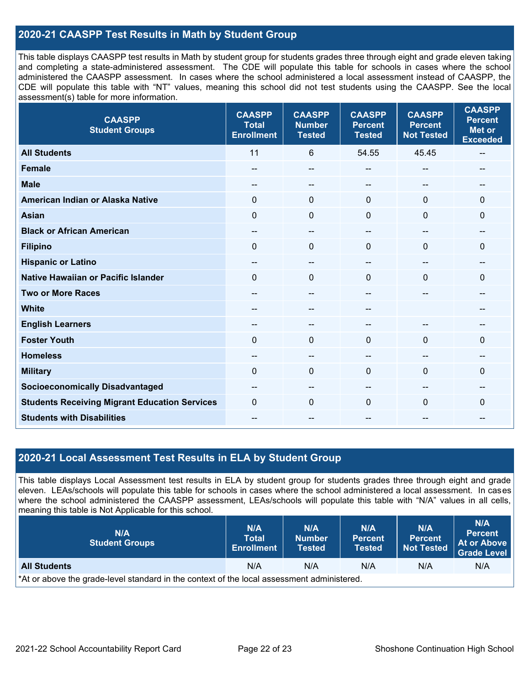### **2020-21 CAASPP Test Results in Math by Student Group**

This table displays CAASPP test results in Math by student group for students grades three through eight and grade eleven taking and completing a state-administered assessment. The CDE will populate this table for schools in cases where the school administered the CAASPP assessment. In cases where the school administered a local assessment instead of CAASPP, the CDE will populate this table with "NT" values, meaning this school did not test students using the CAASPP. See the local assessment(s) table for more information.

| <b>CAASPP</b><br><b>Student Groups</b>               | <b>CAASPP</b><br><b>Total</b><br><b>Enrollment</b> | <b>CAASPP</b><br><b>Number</b><br><b>Tested</b> | <b>CAASPP</b><br><b>Percent</b><br><b>Tested</b> | <b>CAASPP</b><br><b>Percent</b><br><b>Not Tested</b> | <b>CAASPP</b><br><b>Percent</b><br><b>Met or</b><br><b>Exceeded</b> |
|------------------------------------------------------|----------------------------------------------------|-------------------------------------------------|--------------------------------------------------|------------------------------------------------------|---------------------------------------------------------------------|
| <b>All Students</b>                                  | 11                                                 | 6                                               | 54.55                                            | 45.45                                                | $\hspace{0.05cm}$                                                   |
| <b>Female</b>                                        | --                                                 | --                                              | --                                               | --                                                   |                                                                     |
| <b>Male</b>                                          | --                                                 | --                                              | --                                               | $\overline{a}$                                       | --                                                                  |
| American Indian or Alaska Native                     | $\Omega$                                           | $\mathbf 0$                                     | $\mathbf 0$                                      | $\Omega$                                             | $\mathbf 0$                                                         |
| <b>Asian</b>                                         | $\mathbf 0$                                        | 0                                               | $\mathbf 0$                                      | 0                                                    | 0                                                                   |
| <b>Black or African American</b>                     | --                                                 | $\hspace{0.05cm}$ – $\hspace{0.05cm}$           | --                                               | $\overline{a}$                                       | --                                                                  |
| <b>Filipino</b>                                      | $\Omega$                                           | 0                                               | $\mathbf{0}$                                     | 0                                                    | 0                                                                   |
| <b>Hispanic or Latino</b>                            | $\overline{\phantom{a}}$                           | $-$                                             | $\overline{\phantom{a}}$                         | --                                                   | $\hspace{0.05cm}$ – $\hspace{0.05cm}$                               |
| <b>Native Hawaiian or Pacific Islander</b>           | $\Omega$                                           | $\mathbf 0$                                     | $\mathbf 0$                                      | $\Omega$                                             | 0                                                                   |
| <b>Two or More Races</b>                             | --                                                 | --                                              |                                                  |                                                      | --                                                                  |
| <b>White</b>                                         | $- -$                                              | --                                              | $\overline{\phantom{m}}$                         |                                                      | --                                                                  |
| <b>English Learners</b>                              |                                                    | --                                              |                                                  |                                                      |                                                                     |
| <b>Foster Youth</b>                                  | $\Omega$                                           | 0                                               | $\mathbf 0$                                      | $\Omega$                                             | $\Omega$                                                            |
| <b>Homeless</b>                                      | --                                                 | --                                              | --                                               | --                                                   |                                                                     |
| <b>Military</b>                                      | 0                                                  | 0                                               | $\mathbf{0}$                                     | 0                                                    | 0                                                                   |
| <b>Socioeconomically Disadvantaged</b>               | $- -$                                              | --                                              | --                                               | --                                                   | $- -$                                                               |
| <b>Students Receiving Migrant Education Services</b> | $\Omega$                                           | 0                                               | $\Omega$                                         | $\Omega$                                             | 0                                                                   |
| <b>Students with Disabilities</b>                    | $- -$                                              | --                                              | --                                               | --                                                   | --                                                                  |

#### **2020-21 Local Assessment Test Results in ELA by Student Group**

This table displays Local Assessment test results in ELA by student group for students grades three through eight and grade eleven. LEAs/schools will populate this table for schools in cases where the school administered a local assessment. In cases where the school administered the CAASPP assessment, LEAs/schools will populate this table with "N/A" values in all cells, meaning this table is Not Applicable for this school.

| N/A<br><b>Student Groups</b>                                                               | N/A<br><b>Total</b><br><b>Enrollment</b> | N/A<br><b>Number</b><br>Tested | N/A<br><b>Percent</b><br><b>Tested</b> | N/A<br><b>Percent</b><br><b>Not Tested</b> | <b>N/A</b><br><b>Percent</b><br>At or Above<br><b>Grade Level</b> |  |
|--------------------------------------------------------------------------------------------|------------------------------------------|--------------------------------|----------------------------------------|--------------------------------------------|-------------------------------------------------------------------|--|
| <b>All Students</b>                                                                        | N/A                                      | N/A                            | N/A                                    | N/A                                        | N/A                                                               |  |
| *At or above the grade-level standard in the context of the local assessment administered. |                                          |                                |                                        |                                            |                                                                   |  |